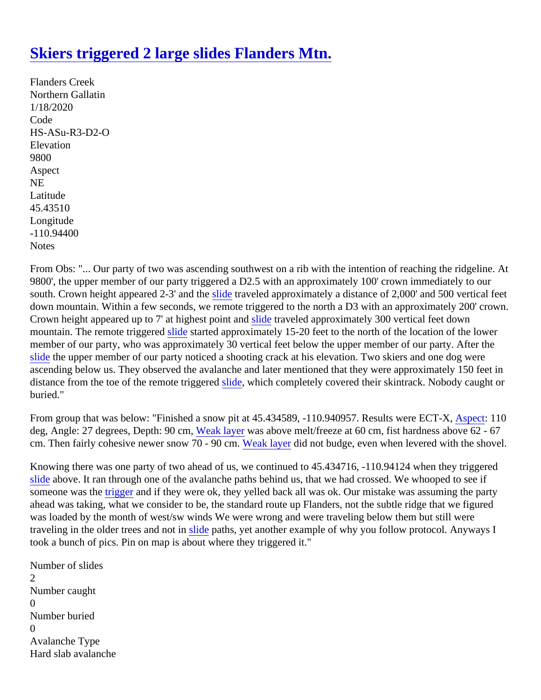## [Skiers triggered 2 large slides Flanders Mtn](https://www.mtavalanche.com/node/21650).

Flanders Creek Northern Gallatin 1/18/2020 Code HS-ASu-R3-D2-O **Elevation** 9800 Aspect NE Latitude 45.43510 Longitude -110.94400 **Notes** 

From Obs: "... Our party of two was ascending southwest on a rib with the intention of reaching the ridgeline. 9800', the upper member of our party triggered a D2.5 with an approximately 100' crown immediately to our south. Crown height appeared 2-3' and the traveled approximately a distance of 2,000' and 500 vertical feet down mountain. Within a few seconds, we remote triggered to the north a D3 with an approximately 200' crow Crown height appeared up to 7' at highest pointside traveled approximately 300 vertical feet down mountain. The remote triggered destarted approximately 15-20 feet to the north of the location of the lower member of our party, who was approximately 30 vertical feet below the upper member of our party. After the [slide](https://www.mtavalanche.com/taxonomy/term/305) the upper member of our party noticed a shooting crack at his elevation. Two skiers and one dog were ascending below us. They observed the avalanche and later mentioned that they were approximately 150 fee distance from the toe of the remote triggeride, which completely covered their skintrack. Nobody caught or buried."

From group that was below: "Finished a snow pit at 45.434589, -110.940957. Results were ESPE eX, 110 deg,Angle: 27 degrees, Depth: 90 of gak layer was above melt/freeze at 60 cm, fist hardness above 62 - 67 cm.Then fairly cohesive newer snow  $70 - 90$  wheak layer did not budge, even when levered with the shovel.

Knowing there was one party of two ahead of us, we continued to 45.434716, -110.94124 when they triggered [slide](https://www.mtavalanche.com/taxonomy/term/305) above. It ran through one of the avalanche paths behind us, that we had crossed. We whooped to see if  $\overline{\mathsf{some}}$  one was t[he trigger](https://www.mtavalanche.com/taxonomy/term/319) and if they were ok, they yelled back all was ok. Our mistake was assuming the party ahead was taking, what we consider to be, the standard route up Flanders, not the subtle ridge that we figure was loaded by the month of west/sw winds We were wrong and were traveling below them but still were traveling in the older trees and notslide paths, yet another example of why you follow protocol. Anyways I took a bunch of pics. Pin on map is about where they triggered it."

Number of slides 2 Number caught  $\Omega$ Number buried  $\Omega$ Avalanche Type Hard slab avalanche